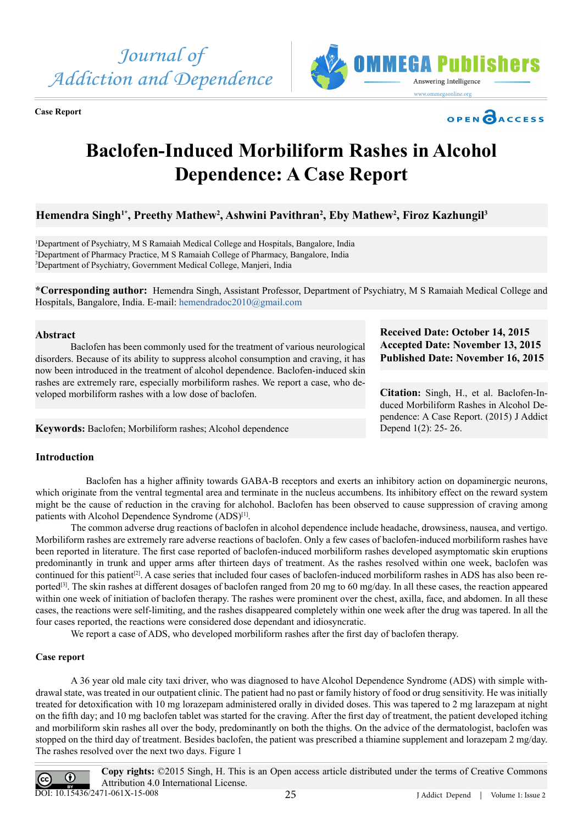

**Case Report**





# **Baclofen-Induced Morbiliform Rashes in Alcohol Dependence: A Case Report**

# Hemendra Singh<sup>1\*</sup>, Preethy Mathew<sup>2</sup>, Ashwini Pavithran<sup>2</sup>, Eby Mathew<sup>2</sup>, Firoz Kazhungil<sup>3</sup>

1 Department of Psychiatry, M S Ramaiah Medical College and Hospitals, Bangalore, India 2 Department of Pharmacy Practice, M S Ramaiah College of Pharmacy, Bangalore, India 3 Department of Psychiatry, Government Medical College, Manjeri, India

**\*Corresponding author:** Hemendra Singh, Assistant Professor, Department of Psychiatry, M S Ramaiah Medical College and Hospitals, Bangalore, India. E-mail: [hemendradoc2010@gmail.com](mailto:hemendradoc2010@gmail.com)

# **Abstract**

Baclofen has been commonly used for the treatment of various neurological disorders. Because of its ability to suppress alcohol consumption and craving, it has now been introduced in the treatment of alcohol dependence. Baclofen-induced skin rashes are extremely rare, especially morbiliform rashes. We report a case, who developed morbiliform rashes with a low dose of baclofen.

**Keywords:** Baclofen; Morbiliform rashes; Alcohol dependence

# **Received Date: October 14, 2015 Accepted Date: November 13, 2015 Published Date: November 16, 2015**

**Citation:** Singh, H., et al. Baclofen-Induced Morbiliform Rashes in Alcohol Dependence: A Case Report. (2015) J Addict Depend 1(2): 25- 26.

# **Introduction**

 Baclofen has a higher affinity towards GABA-B receptors and exerts an inhibitory action on dopaminergic neurons, which originate from the ventral tegmental area and terminate in the nucleus accumbens. Its inhibitory effect on the reward system might be the cause of reduction in the craving for alchohol. Baclofen has been observed to cause suppression of craving among patients with Alcohol Dependence Syndrome (ADS)<sup>[1]</sup>.

The common adverse drug reactions of baclofen in alcohol dependence include headache, drowsiness, nausea, and vertigo. Morbiliform rashes are extremely rare adverse reactions of baclofen. Only a few cases of baclofen-induced morbiliform rashes have been reported in literature. The first case reported of baclofen-induced morbiliform rashes developed asymptomatic skin eruptions predominantly in trunk and upper arms after thirteen days of treatment. As the rashes resolved within one week, baclofen was continued for this patient[2]. A case series that included four cases of baclofen-induced morbiliform rashes in ADS has also been reported<sup>[3]</sup>. The skin rashes at different dosages of baclofen ranged from 20 mg to 60 mg/day. In all these cases, the reaction appeared within one week of initiation of baclofen therapy. The rashes were prominent over the chest, axilla, face, and abdomen. In all these cases, the reactions were self-limiting, and the rashes disappeared completely within one week after the drug was tapered. In all the four cases reported, the reactions were considered dose dependant and idiosyncratic.

 We report a case of ADS, who developed morbiliform rashes after the first day of baclofen therapy.

# **Case report**

A 36 year old male city taxi driver, who was diagnosed to have Alcohol Dependence Syndrome (ADS) with simple withdrawal state, was treated in our outpatient clinic. The patient had no past or family history of food or drug sensitivity. He was initially treated for detoxification with 10 mg lorazepam administered orally in divided doses. This was tapered to 2 mg larazepam at night on the fifth day; and 10 mg baclofen tablet was started for the craving. After the first day of treatment, the patient developed itching and morbiliform skin rashes all over the body, predominantly on both the thighs. On the advice of the dermatologist, baclofen was stopped on the third day of treatment. Besides baclofen, the patient was prescribed a thiamine supplement and lorazepam 2 mg/day. The rashes resolved over the next two days. Figure 1